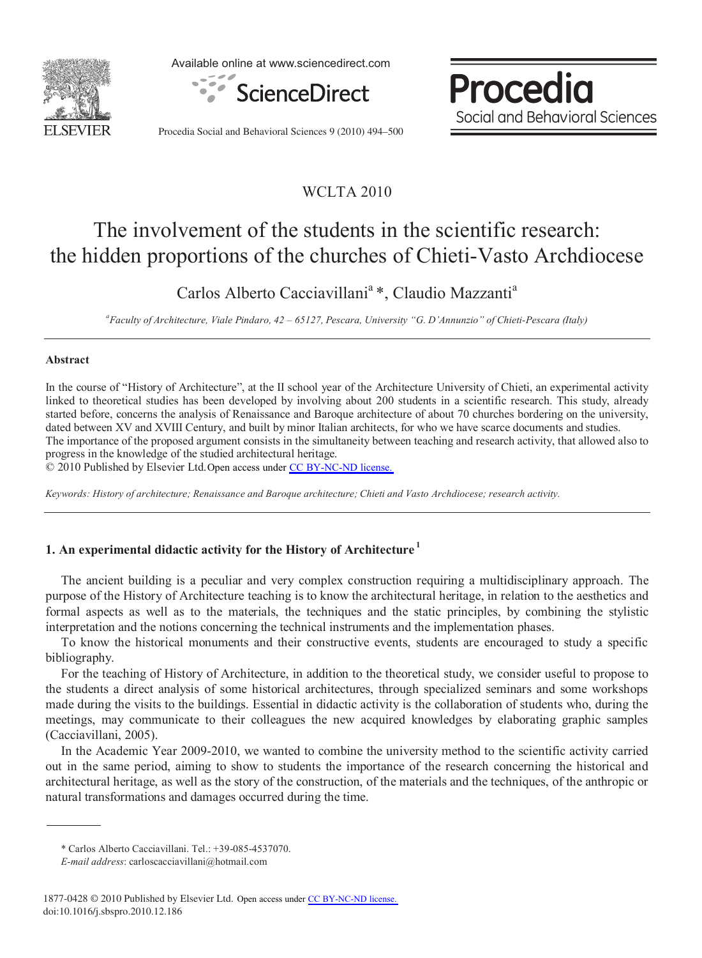

Available online at www.sciencedirect.com



Procedia Social and Behavioral Sciences

Procedia Social and Behavioral Sciences 9 (2010) 494–500

## WCLTA 2010

# The involvement of the students in the scientific research: the hidden proportions of the churches of Chieti-Vasto Archdiocese

Carlos Alberto Cacciavillani<sup>a</sup>\*, Claudio Mazzanti<sup>a</sup>

*a Faculty of Architecture, Viale Pindaro, 42 – 65127, Pescara, University "G. D'Annunzio" of Chieti-Pescara (Italy)* 

### **Abstract**

In the course of "History of Architecture", at the II school year of the Architecture University of Chieti, an experimental activity linked to theoretical studies has been developed by involving about 200 students in a scientific research. This study, already started before, concerns the analysis of Renaissance and Baroque architecture of about 70 churches bordering on the university, dated between XV and XVIII Century, and built by minor Italian architects, for who we have scarce documents and studies. The importance of the proposed argument consists in the simultaneity between teaching and research activity, that allowed also to progress in the knowledge of the studied architectural heritage.

© 2010 Published by Elsevier Ltd. Open access under [CC BY-NC-ND license.](http://creativecommons.org/licenses/by-nc-nd/3.0/)

*Keywords: History of architecture; Renaissance and Baroque architecture; Chieti and Vasto Archdiocese; research activity.* 

### **1. An experimental didactic activity for the History of Architecture 1**

The ancient building is a peculiar and very complex construction requiring a multidisciplinary approach. The purpose of the History of Architecture teaching is to know the architectural heritage, in relation to the aesthetics and formal aspects as well as to the materials, the techniques and the static principles, by combining the stylistic interpretation and the notions concerning the technical instruments and the implementation phases.

To know the historical monuments and their constructive events, students are encouraged to study a specific bibliography.

For the teaching of History of Architecture, in addition to the theoretical study, we consider useful to propose to the students a direct analysis of some historical architectures, through specialized seminars and some workshops made during the visits to the buildings. Essential in didactic activity is the collaboration of students who, during the meetings, may communicate to their colleagues the new acquired knowledges by elaborating graphic samples (Cacciavillani, 2005).

In the Academic Year 2009-2010, we wanted to combine the university method to the scientific activity carried out in the same period, aiming to show to students the importance of the research concerning the historical and architectural heritage, as well as the story of the construction, of the materials and the techniques, of the anthropic or natural transformations and damages occurred during the time.

<sup>\*</sup> Carlos Alberto Cacciavillani. Tel.: +39-085-4537070.

*E-mail address*: carloscacciavillani@hotmail.com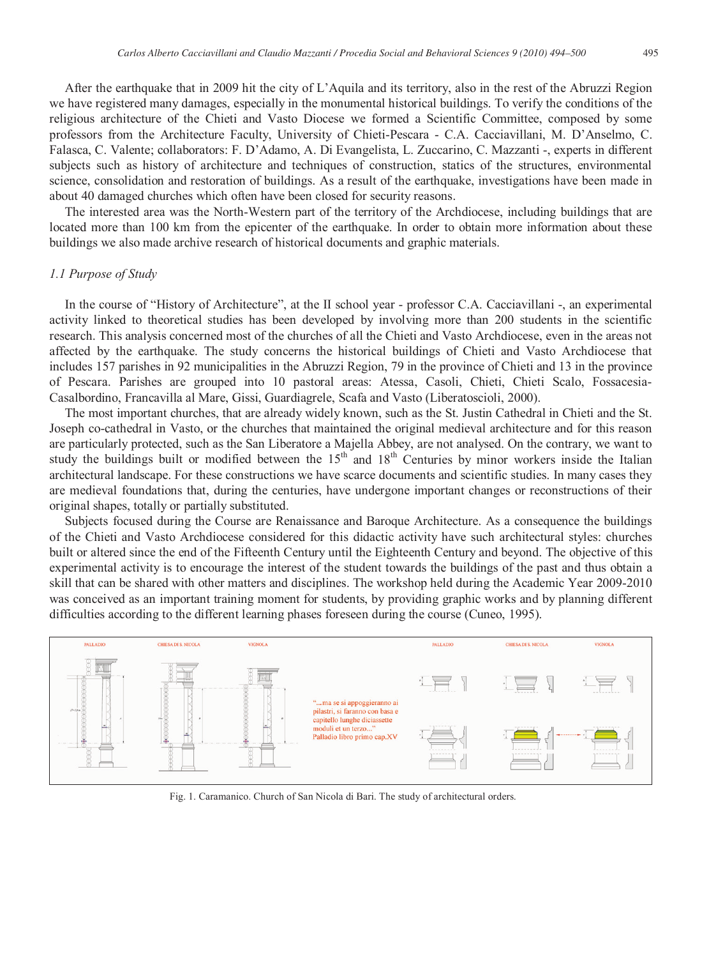After the earthquake that in 2009 hit the city of L'Aquila and its territory, also in the rest of the Abruzzi Region we have registered many damages, especially in the monumental historical buildings. To verify the conditions of the religious architecture of the Chieti and Vasto Diocese we formed a Scientific Committee, composed by some professors from the Architecture Faculty, University of Chieti-Pescara - C.A. Cacciavillani, M. D'Anselmo, C. Falasca, C. Valente; collaborators: F. D'Adamo, A. Di Evangelista, L. Zuccarino, C. Mazzanti -, experts in different subjects such as history of architecture and techniques of construction, statics of the structures, environmental science, consolidation and restoration of buildings. As a result of the earthquake, investigations have been made in about 40 damaged churches which often have been closed for security reasons.

The interested area was the North-Western part of the territory of the Archdiocese, including buildings that are located more than 100 km from the epicenter of the earthquake. In order to obtain more information about these buildings we also made archive research of historical documents and graphic materials.

#### *1.1 Purpose of Study*

In the course of "History of Architecture", at the II school year - professor C.A. Cacciavillani -, an experimental activity linked to theoretical studies has been developed by involving more than 200 students in the scientific research. This analysis concerned most of the churches of all the Chieti and Vasto Archdiocese, even in the areas not affected by the earthquake. The study concerns the historical buildings of Chieti and Vasto Archdiocese that includes 157 parishes in 92 municipalities in the Abruzzi Region, 79 in the province of Chieti and 13 in the province of Pescara. Parishes are grouped into 10 pastoral areas: Atessa, Casoli, Chieti, Chieti Scalo, Fossacesia-Casalbordino, Francavilla al Mare, Gissi, Guardiagrele, Scafa and Vasto (Liberatoscioli, 2000).

The most important churches, that are already widely known, such as the St. Justin Cathedral in Chieti and the St. Joseph co-cathedral in Vasto, or the churches that maintained the original medieval architecture and for this reason are particularly protected, such as the San Liberatore a Majella Abbey, are not analysed. On the contrary, we want to study the buildings built or modified between the 15<sup>th</sup> and 18<sup>th</sup> Centuries by minor workers inside the Italian architectural landscape. For these constructions we have scarce documents and scientific studies. In many cases they are medieval foundations that, during the centuries, have undergone important changes or reconstructions of their original shapes, totally or partially substituted.

Subjects focused during the Course are Renaissance and Baroque Architecture. As a consequence the buildings of the Chieti and Vasto Archdiocese considered for this didactic activity have such architectural styles: churches built or altered since the end of the Fifteenth Century until the Eighteenth Century and beyond. The objective of this experimental activity is to encourage the interest of the student towards the buildings of the past and thus obtain a skill that can be shared with other matters and disciplines. The workshop held during the Academic Year 2009-2010 was conceived as an important training moment for students, by providing graphic works and by planning different difficulties according to the different learning phases foreseen during the course (Cuneo, 1995).



Fig. 1. Caramanico. Church of San Nicola di Bari. The study of architectural orders.